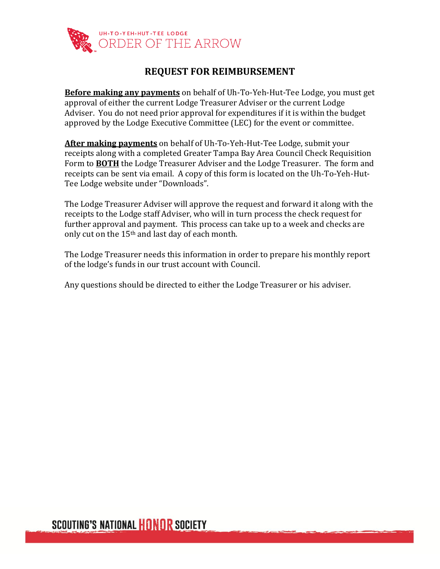

## **REQUEST FOR REIMBURSEMENT**

**Before making any payments** on behalf of Uh-To-Yeh-Hut-Tee Lodge, you must get approval of either the current Lodge Treasurer Adviser or the current Lodge Adviser. You do not need prior approval for expenditures if it is within the budget approved by the Lodge Executive Committee (LEC) for the event or committee.

**After making payments** on behalf of Uh-To-Yeh-Hut-Tee Lodge, submit your receipts along with a completed Greater Tampa Bay Area Council Check Requisition Form to **BOTH** the Lodge Treasurer Adviser and the Lodge Treasurer. The form and receipts can be sent via email. A copy of this form is located on the Uh-To-Yeh-Hut-Tee Lodge website under "Downloads".

The Lodge Treasurer Adviser will approve the request and forward it along with the receipts to the Lodge staff Adviser, who will in turn process the check request for further approval and payment. This process can take up to a week and checks are only cut on the 15th and last day of each month.

The Lodge Treasurer needs this information in order to prepare his monthly report of the lodge's funds in our trust account with Council.

Any questions should be directed to either the Lodge Treasurer or his adviser.